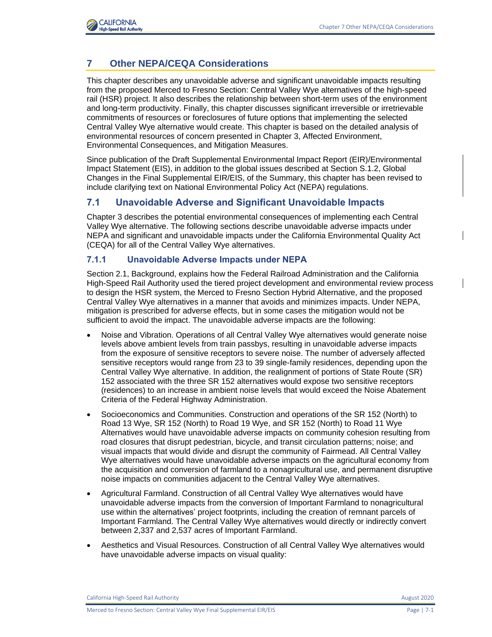

# **7 Other NEPA/CEQA Considerations**

This chapter describes any unavoidable adverse and significant unavoidable impacts resulting from the proposed Merced to Fresno Section: Central Valley Wye alternatives of the high-speed rail (HSR) project. It also describes the relationship between short-term uses of the environment and long-term productivity. Finally, this chapter discusses significant irreversible or irretrievable commitments of resources or foreclosures of future options that implementing the selected Central Valley Wye alternative would create. This chapter is based on the detailed analysis of environmental resources of concern presented in Chapter 3, Affected Environment, Environmental Consequences, and Mitigation Measures.

Since publication of the Draft Supplemental Environmental Impact Report (EIR)/Environmental Impact Statement (EIS), in addition to the global issues described at Section S.1.2, Global Changes in the Final Supplemental EIR/EIS, of the Summary, this chapter has been revised to include clarifying text on National Environmental Policy Act (NEPA) regulations.

## **7.1 Unavoidable Adverse and Significant Unavoidable Impacts**

Chapter 3 describes the potential environmental consequences of implementing each Central Valley Wye alternative. The following sections describe unavoidable adverse impacts under NEPA and significant and unavoidable impacts under the California Environmental Quality Act (CEQA) for all of the Central Valley Wye alternatives.

#### **7.1.1 Unavoidable Adverse Impacts under NEPA**

Section 2.1, Background, explains how the Federal Railroad Administration and the California High-Speed Rail Authority used the tiered project development and environmental review process to design the HSR system, the Merced to Fresno Section Hybrid Alternative, and the proposed Central Valley Wye alternatives in a manner that avoids and minimizes impacts. Under NEPA, mitigation is prescribed for adverse effects, but in some cases the mitigation would not be sufficient to avoid the impact. The unavoidable adverse impacts are the following:

- Noise and Vibration. Operations of all Central Valley Wye alternatives would generate noise levels above ambient levels from train passbys, resulting in unavoidable adverse impacts from the exposure of sensitive receptors to severe noise. The number of adversely affected sensitive receptors would range from 23 to 39 single-family residences, depending upon the Central Valley Wye alternative. In addition, the realignment of portions of State Route (SR) 152 associated with the three SR 152 alternatives would expose two sensitive receptors (residences) to an increase in ambient noise levels that would exceed the Noise Abatement Criteria of the Federal Highway Administration.
- Socioeconomics and Communities. Construction and operations of the SR 152 (North) to Road 13 Wye, SR 152 (North) to Road 19 Wye, and SR 152 (North) to Road 11 Wye Alternatives would have unavoidable adverse impacts on community cohesion resulting from road closures that disrupt pedestrian, bicycle, and transit circulation patterns; noise; and visual impacts that would divide and disrupt the community of Fairmead. All Central Valley Wye alternatives would have unavoidable adverse impacts on the agricultural economy from the acquisition and conversion of farmland to a nonagricultural use, and permanent disruptive noise impacts on communities adjacent to the Central Valley Wye alternatives.
- Agricultural Farmland. Construction of all Central Valley Wye alternatives would have unavoidable adverse impacts from the conversion of Important Farmland to nonagricultural use within the alternatives' project footprints, including the creation of remnant parcels of Important Farmland. The Central Valley Wye alternatives would directly or indirectly convert between 2,337 and 2,537 acres of Important Farmland.
- Aesthetics and Visual Resources. Construction of all Central Valley Wye alternatives would have unavoidable adverse impacts on visual quality:

California High-Speed Rail Authority **August 2020 August 2020**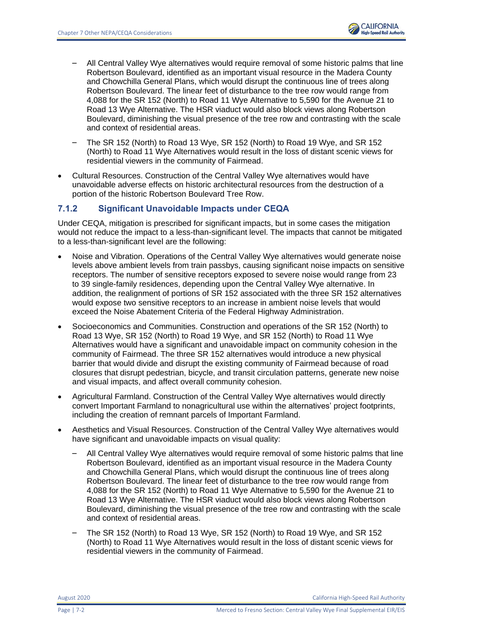- All Central Valley Wye alternatives would require removal of some historic palms that line Robertson Boulevard, identified as an important visual resource in the Madera County and Chowchilla General Plans, which would disrupt the continuous line of trees along Robertson Boulevard. The linear feet of disturbance to the tree row would range from 4,088 for the SR 152 (North) to Road 11 Wye Alternative to 5,590 for the Avenue 21 to Road 13 Wye Alternative. The HSR viaduct would also block views along Robertson Boulevard, diminishing the visual presence of the tree row and contrasting with the scale and context of residential areas.
- The SR 152 (North) to Road 13 Wye, SR 152 (North) to Road 19 Wye, and SR 152 (North) to Road 11 Wye Alternatives would result in the loss of distant scenic views for residential viewers in the community of Fairmead.
- Cultural Resources. Construction of the Central Valley Wye alternatives would have unavoidable adverse effects on historic architectural resources from the destruction of a portion of the historic Robertson Boulevard Tree Row.

## **7.1.2 Significant Unavoidable Impacts under CEQA**

Under CEQA, mitigation is prescribed for significant impacts, but in some cases the mitigation would not reduce the impact to a less-than-significant level. The impacts that cannot be mitigated to a less-than-significant level are the following:

- Noise and Vibration. Operations of the Central Valley Wye alternatives would generate noise levels above ambient levels from train passbys, causing significant noise impacts on sensitive receptors. The number of sensitive receptors exposed to severe noise would range from 23 to 39 single-family residences, depending upon the Central Valley Wye alternative. In addition, the realignment of portions of SR 152 associated with the three SR 152 alternatives would expose two sensitive receptors to an increase in ambient noise levels that would exceed the Noise Abatement Criteria of the Federal Highway Administration.
- Socioeconomics and Communities. Construction and operations of the SR 152 (North) to Road 13 Wye, SR 152 (North) to Road 19 Wye, and SR 152 (North) to Road 11 Wye Alternatives would have a significant and unavoidable impact on community cohesion in the community of Fairmead. The three SR 152 alternatives would introduce a new physical barrier that would divide and disrupt the existing community of Fairmead because of road closures that disrupt pedestrian, bicycle, and transit circulation patterns, generate new noise and visual impacts, and affect overall community cohesion.
- Agricultural Farmland. Construction of the Central Valley Wye alternatives would directly convert Important Farmland to nonagricultural use within the alternatives' project footprints, including the creation of remnant parcels of Important Farmland.
- Aesthetics and Visual Resources. Construction of the Central Valley Wye alternatives would have significant and unavoidable impacts on visual quality:
	- All Central Valley Wye alternatives would require removal of some historic palms that line Robertson Boulevard, identified as an important visual resource in the Madera County and Chowchilla General Plans, which would disrupt the continuous line of trees along Robertson Boulevard. The linear feet of disturbance to the tree row would range from 4,088 for the SR 152 (North) to Road 11 Wye Alternative to 5,590 for the Avenue 21 to Road 13 Wye Alternative. The HSR viaduct would also block views along Robertson Boulevard, diminishing the visual presence of the tree row and contrasting with the scale and context of residential areas.
	- The SR 152 (North) to Road 13 Wye, SR 152 (North) to Road 19 Wye, and SR 152 (North) to Road 11 Wye Alternatives would result in the loss of distant scenic views for residential viewers in the community of Fairmead.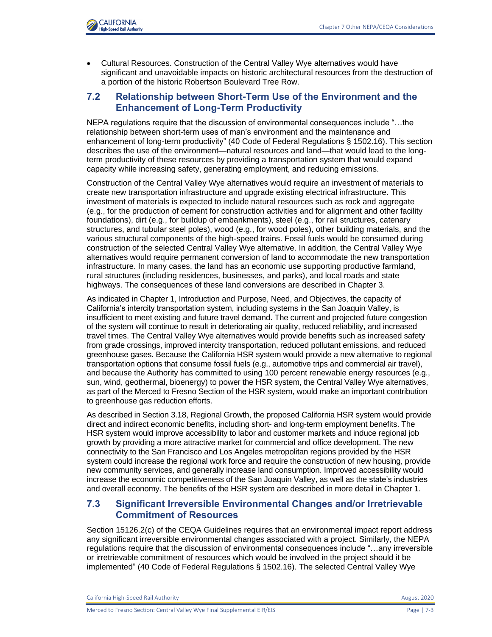

• Cultural Resources. Construction of the Central Valley Wye alternatives would have significant and unavoidable impacts on historic architectural resources from the destruction of a portion of the historic Robertson Boulevard Tree Row.

#### **7.2 Relationship between Short-Term Use of the Environment and the Enhancement of Long-Term Productivity**

NEPA regulations require that the discussion of environmental consequences include "…the relationship between short-term uses of man's environment and the maintenance and enhancement of long-term productivity" (40 Code of Federal Regulations § 1502.16). This section describes the use of the environment—natural resources and land—that would lead to the longterm productivity of these resources by providing a transportation system that would expand capacity while increasing safety, generating employment, and reducing emissions.

Construction of the Central Valley Wye alternatives would require an investment of materials to create new transportation infrastructure and upgrade existing electrical infrastructure. This investment of materials is expected to include natural resources such as rock and aggregate (e.g., for the production of cement for construction activities and for alignment and other facility foundations), dirt (e.g., for buildup of embankments), steel (e.g., for rail structures, catenary structures, and tubular steel poles), wood (e.g., for wood poles), other building materials, and the various structural components of the high-speed trains. Fossil fuels would be consumed during construction of the selected Central Valley Wye alternative. In addition, the Central Valley Wye alternatives would require permanent conversion of land to accommodate the new transportation infrastructure. In many cases, the land has an economic use supporting productive farmland, rural structures (including residences, businesses, and parks), and local roads and state highways. The consequences of these land conversions are described in Chapter 3.

As indicated in Chapter 1, Introduction and Purpose, Need, and Objectives, the capacity of California's intercity transportation system, including systems in the San Joaquin Valley, is insufficient to meet existing and future travel demand. The current and projected future congestion of the system will continue to result in deteriorating air quality, reduced reliability, and increased travel times. The Central Valley Wye alternatives would provide benefits such as increased safety from grade crossings, improved intercity transportation, reduced pollutant emissions, and reduced greenhouse gases. Because the California HSR system would provide a new alternative to regional transportation options that consume fossil fuels (e.g., automotive trips and commercial air travel), and because the Authority has committed to using 100 percent renewable energy resources (e.g., sun, wind, geothermal, bioenergy) to power the HSR system, the Central Valley Wye alternatives, as part of the Merced to Fresno Section of the HSR system, would make an important contribution to greenhouse gas reduction efforts.

As described in Section 3.18, Regional Growth, the proposed California HSR system would provide direct and indirect economic benefits, including short- and long-term employment benefits. The HSR system would improve accessibility to labor and customer markets and induce regional job growth by providing a more attractive market for commercial and office development. The new connectivity to the San Francisco and Los Angeles metropolitan regions provided by the HSR system could increase the regional work force and require the construction of new housing, provide new community services, and generally increase land consumption. Improved accessibility would increase the economic competitiveness of the San Joaquin Valley, as well as the state's industries and overall economy. The benefits of the HSR system are described in more detail in Chapter 1.

### **7.3 Significant Irreversible Environmental Changes and/or Irretrievable Commitment of Resources**

Section 15126.2(c) of the CEQA Guidelines requires that an environmental impact report address any significant irreversible environmental changes associated with a project. Similarly, the NEPA regulations require that the discussion of environmental consequences include "…any irreversible or irretrievable commitment of resources which would be involved in the project should it be implemented" (40 Code of Federal Regulations § 1502.16). The selected Central Valley Wye

California High-Speed Rail Authority **August 2020 August 2020**